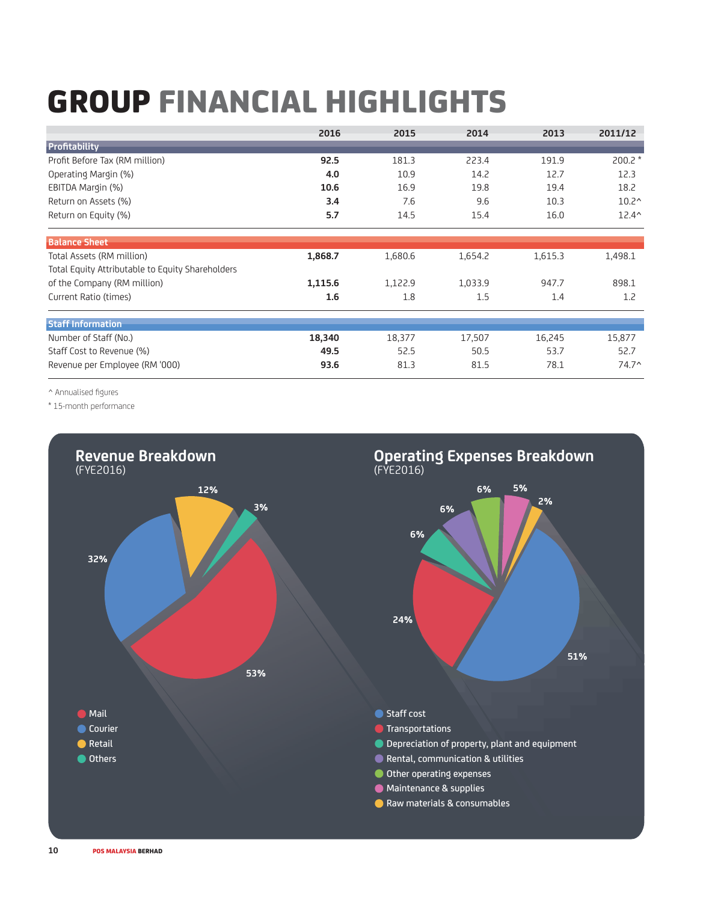## GROUP FINANCIAL HIGHLIGHTS

|                                                  | 2016    | 2015    | 2014    | 2013    | 2011/12        |
|--------------------------------------------------|---------|---------|---------|---------|----------------|
| Profitability                                    |         |         |         |         |                |
| Profit Before Tax (RM million)                   | 92.5    | 181.3   | 223.4   | 191.9   | $200.2*$       |
| Operating Margin (%)                             | 4.0     | 10.9    | 14.2    | 12.7    | 12.3           |
| EBITDA Margin (%)                                | 10.6    | 16.9    | 19.8    | 19.4    | 18.2           |
| Return on Assets (%)                             | 3.4     | 7.6     | 9.6     | 10.3    | $10.2^{\circ}$ |
| Return on Equity (%)                             | 5.7     | 14.5    | 15.4    | 16.0    | $12.4^{\circ}$ |
| <b>Balance Sheet</b>                             |         |         |         |         |                |
| Total Assets (RM million)                        | 1,868.7 | 1,680.6 | 1,654.2 | 1,615.3 | 1,498.1        |
| Total Equity Attributable to Equity Shareholders |         |         |         |         |                |
| of the Company (RM million)                      | 1,115.6 | 1,122.9 | 1,033.9 | 947.7   | 898.1          |
| Current Ratio (times)                            | 1.6     | 1.8     | 1.5     | 1.4     | 1.2            |
| <b>Staff Information</b>                         |         |         |         |         |                |
| Number of Staff (No.)                            | 18,340  | 18,377  | 17,507  | 16,245  | 15,877         |
| Staff Cost to Revenue (%)                        | 49.5    | 52.5    | 50.5    | 53.7    | 52.7           |
| Revenue per Employee (RM '000)                   | 93.6    | 81.3    | 81.5    | 78.1    | $74.7^{\circ}$ |

^ Annualised figures

\* 15-month performance